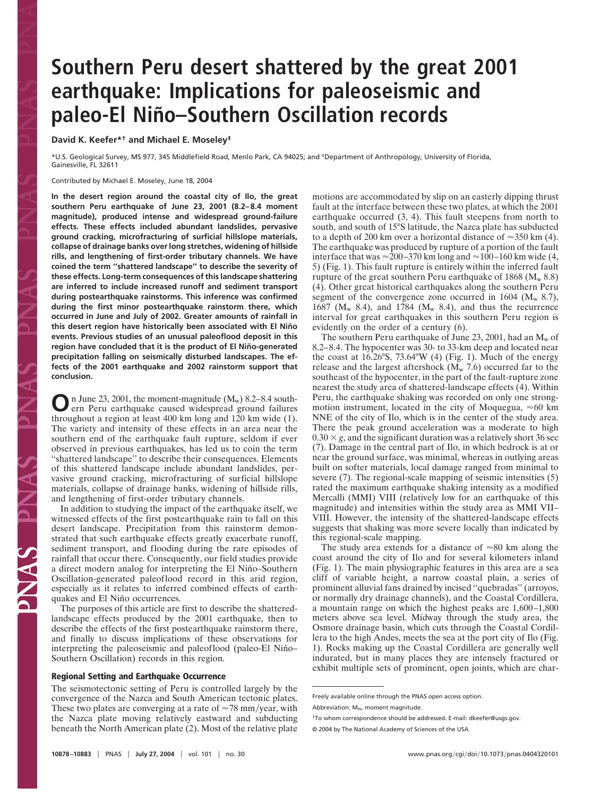# **Southern Peru desert shattered by the great 2001 earthquake: Implications for paleoseismic and** paleo-El Niño-Southern Oscillation records

**David K. Keefer\*† and Michael E. Moseley‡**

\*U.S. Geological Survey, MS 977, 345 Middlefield Road, Menlo Park, CA 94025; and ‡Department of Anthropology, University of Florida, Gainesville, FL 32611

Contributed by Michael E. Moseley, June 18, 2004

**In the desert region around the coastal city of Ilo, the great southern Peru earthquake of June 23, 2001 (8.2–8.4 moment magnitude), produced intense and widespread ground-failure effects. These effects included abundant landslides, pervasive ground cracking, microfracturing of surficial hillslope materials, collapse of drainage banks over long stretches, widening of hillside rills, and lengthening of first-order tributary channels. We have coined the term ''shattered landscape'' to describe the severity of these effects. Long-term consequences of this landscape shattering are inferred to include increased runoff and sediment transport during postearthquake rainstorms. This inference was confirmed during the first minor postearthquake rainstorm there, which occurred in June and July of 2002. Greater amounts of rainfall in this desert region have historically been associated with El Nin˜ o events. Previous studies of an unusual paleoflood deposit in this** region have concluded that it is the product of El Niño-generated **precipitation falling on seismically disturbed landscapes. The effects of the 2001 earthquake and 2002 rainstorm support that conclusion.**

**O**n June 23, 2001, the moment-magnitude (M<sub>w</sub>) 8.2–8.4 south-<br>ern Peru earthquake caused widespread ground failures throughout a region at least 400 km long and 120 km wide (1). The variety and intensity of these effects in an area near the southern end of the earthquake fault rupture, seldom if ever observed in previous earthquakes, has led us to coin the term ''shattered landscape'' to describe their consequences. Elements of this shattered landscape include abundant landslides, pervasive ground cracking, microfracturing of surficial hillslope materials, collapse of drainage banks, widening of hillside rills, and lengthening of first-order tributary channels.

In addition to studying the impact of the earthquake itself, we witnessed effects of the first postearthquake rain to fall on this desert landscape. Precipitation from this rainstorm demonstrated that such earthquake effects greatly exacerbate runoff, sediment transport, and flooding during the rare episodes of rainfall that occur there. Consequently, our field studies provide a direct modern analog for interpreting the El Niño–Southern Oscillation-generated paleoflood record in this arid region, especially as it relates to inferred combined effects of earthquakes and El Niño occurrences.

The purposes of this article are first to describe the shatteredlandscape effects produced by the 2001 earthquake, then to describe the effects of the first postearthquake rainstorm there, and finally to discuss implications of these observations for interpreting the paleoseismic and paleoflood (paleo-El Niño– Southern Oscillation) records in this region.

## **Regional Setting and Earthquake Occurrence**

The seismotectonic setting of Peru is controlled largely by the convergence of the Nazca and South American tectonic plates. These two plates are converging at a rate of  $\approx 78$  mm/year, with the Nazca plate moving relatively eastward and subducting beneath the North American plate (2). Most of the relative plate motions are accommodated by slip on an easterly dipping thrust fault at the interface between these two plates, at which the 2001 earthquake occurred (3, 4). This fault steepens from north to south, and south of 15°S latitude, the Nazca plate has subducted to a depth of 200 km over a horizontal distance of  $\approx$ 350 km (4). The earthquake was produced by rupture of a portion of the fault interface that was  $\approx$  200–370 km long and  $\approx$  100–160 km wide (4, 5) (Fig. 1). This fault rupture is entirely within the inferred fault rupture of the great southern Peru earthquake of  $1868 \, (M_w \, 8.8)$ (4). Other great historical earthquakes along the southern Peru segment of the convergence zone occurred in 1604 ( $M_w$  8.7), 1687 ( $M_w$  8.4), and 1784 ( $M_w$  8.4), and thus the recurrence interval for great earthquakes in this southern Peru region is evidently on the order of a century (6).

The southern Peru earthquake of June 23, 2001, had an  $M_w$  of 8.2–8.4. The hypocenter was 30- to 33-km deep and located near the coast at 16.26°S, 73.64°W (4) (Fig. 1). Much of the energy release and the largest aftershock  $(M_w 7.6)$  occurred far to the southeast of the hypocenter, in the part of the fault-rupture zone nearest the study area of shattered-landscape effects (4). Within Peru, the earthquake shaking was recorded on only one strongmotion instrument, located in the city of Moquegua,  $\approx 60$  km NNE of the city of Ilo, which is in the center of the study area. There the peak ground acceleration was a moderate to high  $0.30 \times g$ , and the significant duration was a relatively short 36 sec (7). Damage in the central part of Ilo, in which bedrock is at or near the ground surface, was minimal, whereas in outlying areas built on softer materials, local damage ranged from minimal to severe (7). The regional-scale mapping of seismic intensities (5) rated the maximum earthquake shaking intensity as a modified Mercalli (MMI) VIII (relatively low for an earthquake of this magnitude) and intensities within the study area as MMI VII– VIII. However, the intensity of the shattered-landscape effects suggests that shaking was more severe locally than indicated by this regional-scale mapping.

The study area extends for a distance of  $\approx 80$  km along the coast around the city of Ilo and for several kilometers inland (Fig. 1). The main physiographic features in this area are a sea cliff of variable height, a narrow coastal plain, a series of prominent alluvial fans drained by incised ''quebradas'' (arroyos, or normally dry drainage channels), and the Coastal Cordillera, a mountain range on which the highest peaks are 1,600–1,800 meters above sea level. Midway through the study area, the Osmore drainage basin, which cuts through the Coastal Cordillera to the high Andes, meets the sea at the port city of Ilo (Fig. 1). Rocks making up the Coastal Cordillera are generally well indurated, but in many places they are intensely fractured or exhibit multiple sets of prominent, open joints, which are char-

Freely available online through the PNAS open access option.

Abbreviation: Mw, moment magnitude.

<sup>†</sup>To whom correspondence should be addressed. E-mail: dkeefer@usgs.gov.

<sup>© 2004</sup> by The National Academy of Sciences of the USA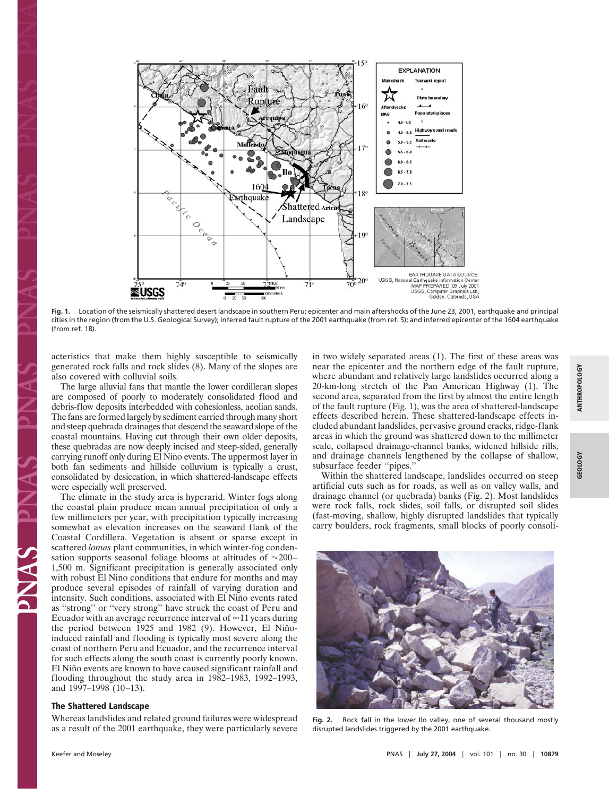

**Fig. 1.** Location of the seismically shattered desert landscape in southern Peru; epicenter and main aftershocks of the June 23, 2001, earthquake and principal cities in the region (from the U.S. Geological Survey); inferred fault rupture of the 2001 earthquake (from ref. 5); and inferred epicenter of the 1604 earthquake (from ref. 18).

acteristics that make them highly susceptible to seismically generated rock falls and rock slides (8). Many of the slopes are also covered with colluvial soils.

The large alluvial fans that mantle the lower cordilleran slopes are composed of poorly to moderately consolidated flood and debris-flow deposits interbedded with cohesionless, aeolian sands. The fans are formed largely by sediment carried through many short and steep quebrada drainages that descend the seaward slope of the coastal mountains. Having cut through their own older deposits, these quebradas are now deeply incised and steep-sided, generally carrying runoff only during El Niño events. The uppermost layer in both fan sediments and hillside colluvium is typically a crust, consolidated by desiccation, in which shattered-landscape effects were especially well preserved.

The climate in the study area is hyperarid. Winter fogs along the coastal plain produce mean annual precipitation of only a few millimeters per year, with precipitation typically increasing somewhat as elevation increases on the seaward flank of the Coastal Cordillera. Vegetation is absent or sparse except in scattered *lomas* plant communities, in which winter-fog condensation supports seasonal foliage blooms at altitudes of  $\approx 200-$ 1,500 m. Significant precipitation is generally associated only with robust El Niño conditions that endure for months and may produce several episodes of rainfall of varying duration and intensity. Such conditions, associated with El Niño events rated as ''strong'' or ''very strong'' have struck the coast of Peru and Ecuador with an average recurrence interval of  $\approx$  11 years during the period between 1925 and 1982 (9). However, El Niñoinduced rainfall and flooding is typically most severe along the coast of northern Peru and Ecuador, and the recurrence interval for such effects along the south coast is currently poorly known. El Niño events are known to have caused significant rainfall and flooding throughout the study area in 1982–1983, 1992–1993, and 1997–1998 (10–13).

## **The Shattered Landscape**

Whereas landslides and related ground failures were widespread as a result of the 2001 earthquake, they were particularly severe in two widely separated areas (1). The first of these areas was near the epicenter and the northern edge of the fault rupture, where abundant and relatively large landslides occurred along a 20-km-long stretch of the Pan American Highway (1). The second area, separated from the first by almost the entire length of the fault rupture (Fig. 1), was the area of shattered-landscape effects described herein. These shattered-landscape effects included abundant landslides, pervasive ground cracks, ridge-flank areas in which the ground was shattered down to the millimeter scale, collapsed drainage-channel banks, widened hillside rills, and drainage channels lengthened by the collapse of shallow, subsurface feeder ''pipes.''

Within the shattered landscape, landslides occurred on steep artificial cuts such as for roads, as well as on valley walls, and drainage channel (or quebrada) banks (Fig. 2). Most landslides were rock falls, rock slides, soil falls, or disrupted soil slides (fast-moving, shallow, highly disrupted landslides that typically carry boulders, rock fragments, small blocks of poorly consoli-



**Fig. 2.** Rock fall in the lower Ilo valley, one of several thousand mostly disrupted landslides triggered by the 2001 earthquake.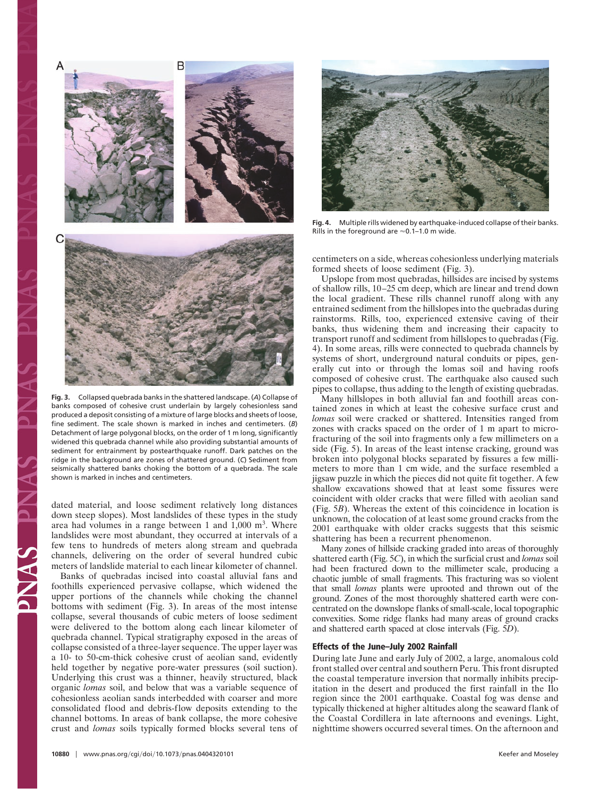

**Fig. 3.** Collapsed quebrada banks in the shattered landscape. (*A*) Collapse of banks composed of cohesive crust underlain by largely cohesionless sand produced a deposit consisting of a mixture of large blocks and sheets of loose, fine sediment. The scale shown is marked in inches and centimeters. (*B*) Detachment of large polygonal blocks, on the order of 1 m long, significantly widened this quebrada channel while also providing substantial amounts of sediment for entrainment by postearthquake runoff. Dark patches on the ridge in the background are zones of shattered ground. (*C*) Sediment from seismically shattered banks choking the bottom of a quebrada. The scale shown is marked in inches and centimeters.

dated material, and loose sediment relatively long distances down steep slopes). Most landslides of these types in the study area had volumes in a range between 1 and 1,000 m3. Where landslides were most abundant, they occurred at intervals of a few tens to hundreds of meters along stream and quebrada channels, delivering on the order of several hundred cubic meters of landslide material to each linear kilometer of channel.

Banks of quebradas incised into coastal alluvial fans and foothills experienced pervasive collapse, which widened the upper portions of the channels while choking the channel bottoms with sediment (Fig. 3). In areas of the most intense collapse, several thousands of cubic meters of loose sediment were delivered to the bottom along each linear kilometer of quebrada channel. Typical stratigraphy exposed in the areas of collapse consisted of a three-layer sequence. The upper layer was a 10- to 50-cm-thick cohesive crust of aeolian sand, evidently held together by negative pore-water pressures (soil suction). Underlying this crust was a thinner, heavily structured, black organic *lomas* soil, and below that was a variable sequence of cohesionless aeolian sands interbedded with coarser and more consolidated flood and debris-flow deposits extending to the channel bottoms. In areas of bank collapse, the more cohesive crust and *lomas* soils typically formed blocks several tens of



**Fig. 4.** Multiple rills widened by earthquake-induced collapse of their banks. Rills in the foreground are  $\approx$  0.1–1.0 m wide.

centimeters on a side, whereas cohesionless underlying materials formed sheets of loose sediment (Fig. 3).

Upslope from most quebradas, hillsides are incised by systems of shallow rills, 10–25 cm deep, which are linear and trend down the local gradient. These rills channel runoff along with any entrained sediment from the hillslopes into the quebradas during rainstorms. Rills, too, experienced extensive caving of their banks, thus widening them and increasing their capacity to transport runoff and sediment from hillslopes to quebradas (Fig. 4). In some areas, rills were connected to quebrada channels by systems of short, underground natural conduits or pipes, generally cut into or through the lomas soil and having roofs composed of cohesive crust. The earthquake also caused such pipes to collapse, thus adding to the length of existing quebradas.

Many hillslopes in both alluvial fan and foothill areas contained zones in which at least the cohesive surface crust and *lomas* soil were cracked or shattered. Intensities ranged from zones with cracks spaced on the order of 1 m apart to microfracturing of the soil into fragments only a few millimeters on a side (Fig. 5). In areas of the least intense cracking, ground was broken into polygonal blocks separated by fissures a few millimeters to more than 1 cm wide, and the surface resembled a jigsaw puzzle in which the pieces did not quite fit together. A few shallow excavations showed that at least some fissures were coincident with older cracks that were filled with aeolian sand (Fig. 5*B*). Whereas the extent of this coincidence in location is unknown, the colocation of at least some ground cracks from the 2001 earthquake with older cracks suggests that this seismic shattering has been a recurrent phenomenon.

Many zones of hillside cracking graded into areas of thoroughly shattered earth (Fig. 5*C*), in which the surficial crust and *lomas* soil had been fractured down to the millimeter scale, producing a chaotic jumble of small fragments. This fracturing was so violent that small *lomas* plants were uprooted and thrown out of the ground. Zones of the most thoroughly shattered earth were concentrated on the downslope flanks of small-scale, local topographic convexities. Some ridge flanks had many areas of ground cracks and shattered earth spaced at close intervals (Fig. 5*D*).

### **Effects of the June–July 2002 Rainfall**

During late June and early July of 2002, a large, anomalous cold front stalled over central and southern Peru. This front disrupted the coastal temperature inversion that normally inhibits precipitation in the desert and produced the first rainfall in the Ilo region since the 2001 earthquake. Coastal fog was dense and typically thickened at higher altitudes along the seaward flank of the Coastal Cordillera in late afternoons and evenings. Light, nighttime showers occurred several times. On the afternoon and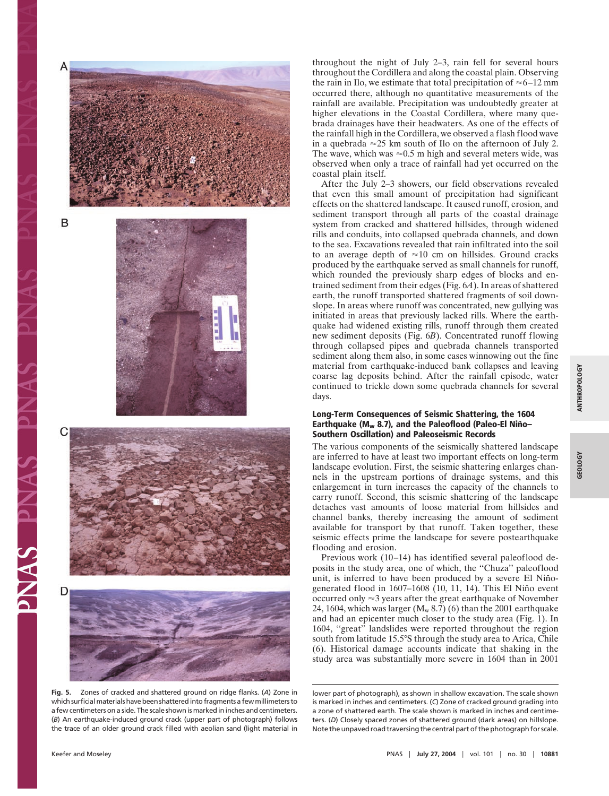

**Fig. 5.** Zones of cracked and shattered ground on ridge flanks. (*A*) Zone in which surficial materials have been shattered into fragments a few millimeters to a few centimeters on a side. The scale shown is marked in inches and centimeters. (*B*) An earthquake-induced ground crack (upper part of photograph) follows the trace of an older ground crack filled with aeolian sand (light material in

throughout the night of July 2–3, rain fell for several hours throughout the Cordillera and along the coastal plain. Observing the rain in Ilo, we estimate that total precipitation of  $\approx 6-12$  mm occurred there, although no quantitative measurements of the rainfall are available. Precipitation was undoubtedly greater at higher elevations in the Coastal Cordillera, where many quebrada drainages have their headwaters. As one of the effects of the rainfall high in the Cordillera, we observed a flash flood wave in a quebrada  $\approx 25$  km south of Ilo on the afternoon of July 2. The wave, which was  $\approx 0.5$  m high and several meters wide, was observed when only a trace of rainfall had yet occurred on the coastal plain itself.

After the July 2–3 showers, our field observations revealed that even this small amount of precipitation had significant effects on the shattered landscape. It caused runoff, erosion, and sediment transport through all parts of the coastal drainage system from cracked and shattered hillsides, through widened rills and conduits, into collapsed quebrada channels, and down to the sea. Excavations revealed that rain infiltrated into the soil to an average depth of  $\approx 10$  cm on hillsides. Ground cracks produced by the earthquake served as small channels for runoff, which rounded the previously sharp edges of blocks and entrained sediment from their edges (Fig. 6*A*). In areas of shattered earth, the runoff transported shattered fragments of soil downslope. In areas where runoff was concentrated, new gullying was initiated in areas that previously lacked rills. Where the earthquake had widened existing rills, runoff through them created new sediment deposits (Fig. 6*B*). Concentrated runoff flowing through collapsed pipes and quebrada channels transported sediment along them also, in some cases winnowing out the fine material from earthquake-induced bank collapses and leaving coarse lag deposits behind. After the rainfall episode, water continued to trickle down some quebrada channels for several days.

## **Long-Term Consequences of Seismic Shattering, the 1604 Earthquake (Mw 8.7), and the Paleoflood (Paleo-El Nin˜ o– Southern Oscillation) and Paleoseismic Records**

The various components of the seismically shattered landscape are inferred to have at least two important effects on long-term landscape evolution. First, the seismic shattering enlarges channels in the upstream portions of drainage systems, and this enlargement in turn increases the capacity of the channels to carry runoff. Second, this seismic shattering of the landscape detaches vast amounts of loose material from hillsides and channel banks, thereby increasing the amount of sediment available for transport by that runoff. Taken together, these seismic effects prime the landscape for severe postearthquake flooding and erosion.

Previous work (10–14) has identified several paleoflood deposits in the study area, one of which, the ''Chuza'' paleoflood unit, is inferred to have been produced by a severe El Niñogenerated flood in  $1607-1608$  (10, 11, 14). This El Niño event occurred only  $\approx$ 3 years after the great earthquake of November 24, 1604, which was larger  $(M_w 8.7)$  (6) than the 2001 earthquake and had an epicenter much closer to the study area (Fig. 1). In 1604, ''great'' landslides were reported throughout the region south from latitude 15.5°S through the study area to Arica, Chile (6). Historical damage accounts indicate that shaking in the study area was substantially more severe in 1604 than in 2001

PNAS PP

lower part of photograph), as shown in shallow excavation. The scale shown is marked in inches and centimeters. (*C*) Zone of cracked ground grading into a zone of shattered earth. The scale shown is marked in inches and centimeters. (*D*) Closely spaced zones of shattered ground (dark areas) on hillslope. Note the unpaved road traversing the central part of the photograph for scale.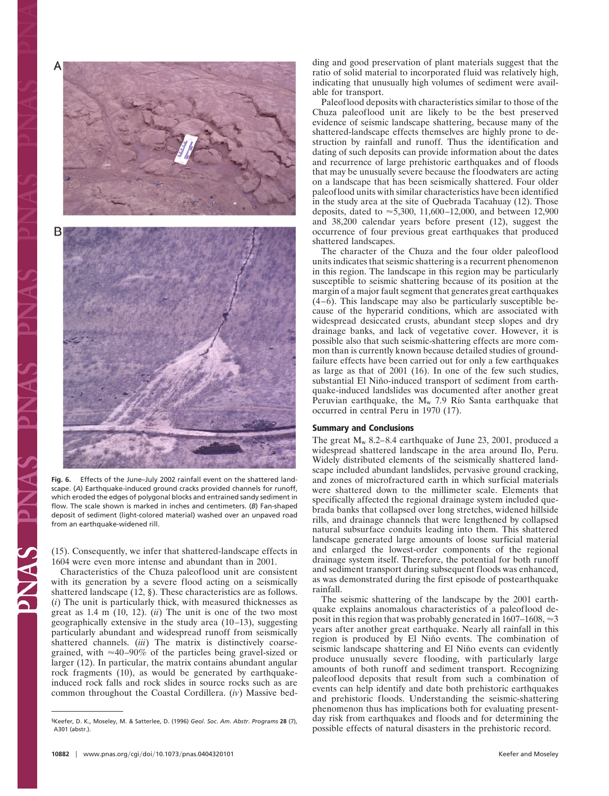

**Fig. 6.** Effects of the June–July 2002 rainfall event on the shattered landscape. (*A*) Earthquake-induced ground cracks provided channels for runoff, which eroded the edges of polygonal blocks and entrained sandy sediment in flow. The scale shown is marked in inches and centimeters. (*B*) Fan-shaped deposit of sediment (light-colored material) washed over an unpaved road from an earthquake-widened rill.

(15). Consequently, we infer that shattered-landscape effects in 1604 were even more intense and abundant than in 2001.

Characteristics of the Chuza paleoflood unit are consistent with its generation by a severe flood acting on a seismically shattered landscape (12, §). These characteristics are as follows. (*i*) The unit is particularly thick, with measured thicknesses as great as 1.4 m (10, 12). (*ii*) The unit is one of the two most geographically extensive in the study area (10–13), suggesting particularly abundant and widespread runoff from seismically shattered channels. (*iii*) The matrix is distinctively coarsegrained, with  $\approx 40-90\%$  of the particles being gravel-sized or larger (12). In particular, the matrix contains abundant angular rock fragments (10), as would be generated by earthquakeinduced rock falls and rock slides in source rocks such as are common throughout the Coastal Cordillera. (*iv*) Massive bedding and good preservation of plant materials suggest that the ratio of solid material to incorporated fluid was relatively high, indicating that unusually high volumes of sediment were available for transport.

Paleoflood deposits with characteristics similar to those of the Chuza paleoflood unit are likely to be the best preserved evidence of seismic landscape shattering, because many of the shattered-landscape effects themselves are highly prone to destruction by rainfall and runoff. Thus the identification and dating of such deposits can provide information about the dates and recurrence of large prehistoric earthquakes and of floods that may be unusually severe because the floodwaters are acting on a landscape that has been seismically shattered. Four older paleoflood units with similar characteristics have been identified in the study area at the site of Quebrada Tacahuay (12). Those deposits, dated to  $\approx$  5,300, 11,600–12,000, and between 12,900 and 38,200 calendar years before present (12), suggest the occurrence of four previous great earthquakes that produced shattered landscapes.

The character of the Chuza and the four older paleoflood units indicates that seismic shattering is a recurrent phenomenon in this region. The landscape in this region may be particularly susceptible to seismic shattering because of its position at the margin of a major fault segment that generates great earthquakes (4–6). This landscape may also be particularly susceptible because of the hyperarid conditions, which are associated with widespread desiccated crusts, abundant steep slopes and dry drainage banks, and lack of vegetative cover. However, it is possible also that such seismic-shattering effects are more common than is currently known because detailed studies of groundfailure effects have been carried out for only a few earthquakes as large as that of 2001 (16). In one of the few such studies, substantial El Niño-induced transport of sediment from earthquake-induced landslides was documented after another great Peruvian earthquake, the  $M_w$  7.9 Río Santa earthquake that occurred in central Peru in 1970 (17).

#### **Summary and Conclusions**

The great  $M_w$  8.2–8.4 earthquake of June 23, 2001, produced a widespread shattered landscape in the area around Ilo, Peru. Widely distributed elements of the seismically shattered landscape included abundant landslides, pervasive ground cracking, and zones of microfractured earth in which surficial materials were shattered down to the millimeter scale. Elements that specifically affected the regional drainage system included quebrada banks that collapsed over long stretches, widened hillside rills, and drainage channels that were lengthened by collapsed natural subsurface conduits leading into them. This shattered landscape generated large amounts of loose surficial material and enlarged the lowest-order components of the regional drainage system itself. Therefore, the potential for both runoff and sediment transport during subsequent floods was enhanced, as was demonstrated during the first episode of postearthquake rainfall.

The seismic shattering of the landscape by the 2001 earthquake explains anomalous characteristics of a paleoflood deposit in this region that was probably generated in 1607–1608,  $\approx$ 3 years after another great earthquake. Nearly all rainfall in this region is produced by El Niño events. The combination of seismic landscape shattering and El Niño events can evidently produce unusually severe flooding, with particularly large amounts of both runoff and sediment transport. Recognizing paleoflood deposits that result from such a combination of events can help identify and date both prehistoric earthquakes and prehistoric floods. Understanding the seismic-shattering phenomenon thus has implications both for evaluating presentday risk from earthquakes and floods and for determining the possible effects of natural disasters in the prehistoric record.

<sup>§</sup>Keefer, D. K., Moseley, M. & Satterlee, D. (1996) *Geol*. *Soc*. *Am*. *Abstr*. *Programs* **28** (7), A301 (abstr.).